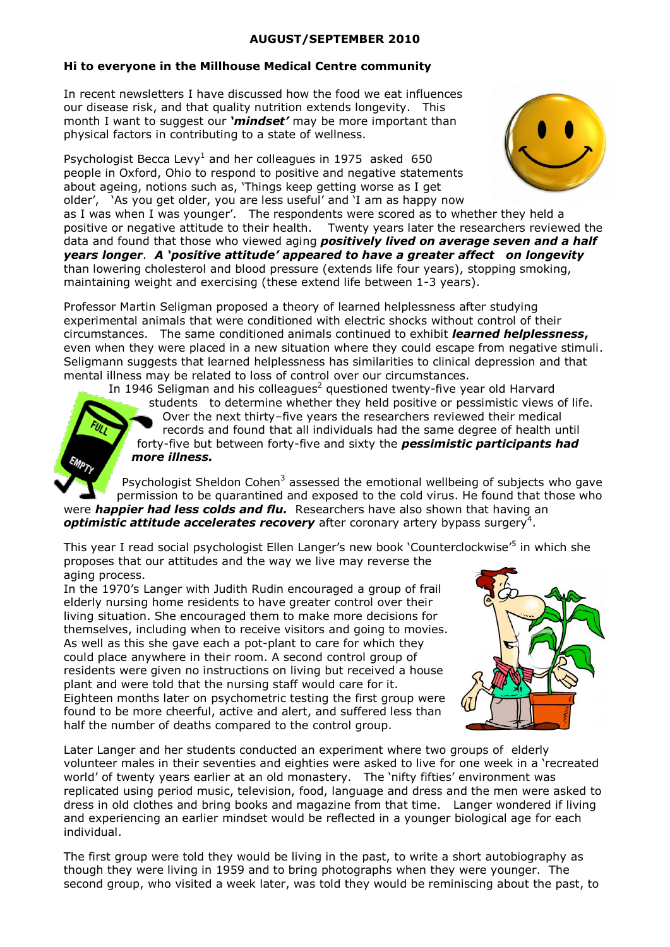#### **AUGUST/SEPTEMBER 2010**

# **Hi to everyone in the Millhouse Medical Centre community**

In recent newsletters I have discussed how the food we eat influences our disease risk, and that quality nutrition extends longevity. This month I want to suggest our *'mindset'* may be more important than physical factors in contributing to a state of wellness.

Psychologist Becca Levy<sup>1</sup> and her colleagues in 1975 asked 650 people in Oxford, Ohio to respond to positive and negative statements about ageing, notions such as, 'Things keep getting worse as I get older', 'As you get older, you are less useful' and 'I am as happy now



as I was when I was younger'. The respondents were scored as to whether they held a positive or negative attitude to their health. Twenty years later the researchers reviewed the data and found that those who viewed aging *positively lived on average seven and a half years longer*. *A 'positive attitude' appeared to have a greater affect on longevity* than lowering cholesterol and blood pressure (extends life four years), stopping smoking, maintaining weight and exercising (these extend life between 1-3 years).

Professor Martin Seligman proposed a theory of learned helplessness after studying experimental animals that were conditioned with electric shocks without control of their circumstances. The same conditioned animals continued to exhibit *learned helplessness***,**  even when they were placed in a new situation where they could escape from negative stimuli. Seligmann suggests that learned helplessness has similarities to clinical depression and that mental illness may be related to loss of control over our circumstances.

In 1946 Seligman and his colleagues<sup>2</sup> questioned twenty-five year old Harvard students to determine whether they held positive or pessimistic views of life. Over the next thirty–five years the researchers reviewed their medical records and found that all individuals had the same degree of health until forty-five but between forty-five and sixty the *pessimistic participants had more illness.* 

Psychologist Sheldon Cohen<sup>3</sup> assessed the emotional wellbeing of subjects who gave permission to be quarantined and exposed to the cold virus. He found that those who were *happier had less colds and flu.* Researchers have also shown that having an optimistic attitude accelerates recovery after coronary artery bypass surgery<sup>4</sup>.

This year I read social psychologist Ellen Langer's new book 'Counterclockwise'<sup>5</sup> in which she proposes that our attitudes and the way we live may reverse the aging process.

In the 1970's Langer with Judith Rudin encouraged a group of frail elderly nursing home residents to have greater control over their living situation. She encouraged them to make more decisions for themselves, including when to receive visitors and going to movies. As well as this she gave each a pot-plant to care for which they could place anywhere in their room. A second control group of residents were given no instructions on living but received a house plant and were told that the nursing staff would care for it. Eighteen months later on psychometric testing the first group were found to be more cheerful, active and alert, and suffered less than half the number of deaths compared to the control group.



Later Langer and her students conducted an experiment where two groups of elderly volunteer males in their seventies and eighties were asked to live for one week in a 'recreated world' of twenty years earlier at an old monastery. The 'nifty fifties' environment was replicated using period music, television, food, language and dress and the men were asked to dress in old clothes and bring books and magazine from that time. Langer wondered if living and experiencing an earlier mindset would be reflected in a younger biological age for each individual.

The first group were told they would be living in the past, to write a short autobiography as though they were living in 1959 and to bring photographs when they were younger. The second group, who visited a week later, was told they would be reminiscing about the past, to